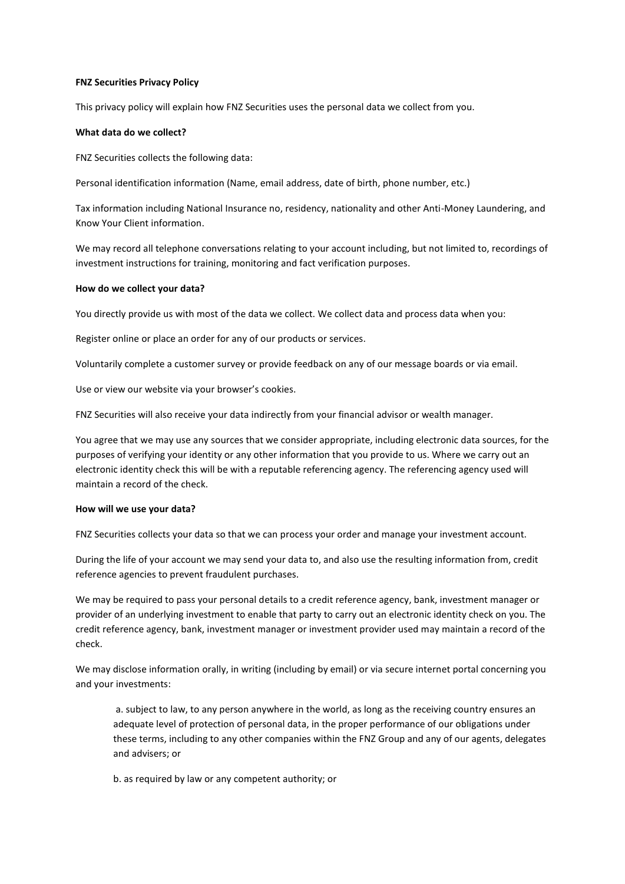## **FNZ Securities Privacy Policy**

This privacy policy will explain how FNZ Securities uses the personal data we collect from you.

# **What data do we collect?**

FNZ Securities collects the following data:

Personal identification information (Name, email address, date of birth, phone number, etc.)

Tax information including National Insurance no, residency, nationality and other Anti-Money Laundering, and Know Your Client information.

We may record all telephone conversations relating to your account including, but not limited to, recordings of investment instructions for training, monitoring and fact verification purposes.

## **How do we collect your data?**

You directly provide us with most of the data we collect. We collect data and process data when you:

Register online or place an order for any of our products or services.

Voluntarily complete a customer survey or provide feedback on any of our message boards or via email.

Use or view our website via your browser's cookies.

FNZ Securities will also receive your data indirectly from your financial advisor or wealth manager.

You agree that we may use any sources that we consider appropriate, including electronic data sources, for the purposes of verifying your identity or any other information that you provide to us. Where we carry out an electronic identity check this will be with a reputable referencing agency. The referencing agency used will maintain a record of the check.

## **How will we use your data?**

FNZ Securities collects your data so that we can process your order and manage your investment account.

During the life of your account we may send your data to, and also use the resulting information from, credit reference agencies to prevent fraudulent purchases.

We may be required to pass your personal details to a credit reference agency, bank, investment manager or provider of an underlying investment to enable that party to carry out an electronic identity check on you. The credit reference agency, bank, investment manager or investment provider used may maintain a record of the check.

We may disclose information orally, in writing (including by email) or via secure internet portal concerning you and your investments:

a. subject to law, to any person anywhere in the world, as long as the receiving country ensures an adequate level of protection of personal data, in the proper performance of our obligations under these terms, including to any other companies within the FNZ Group and any of our agents, delegates and advisers; or

b. as required by law or any competent authority; or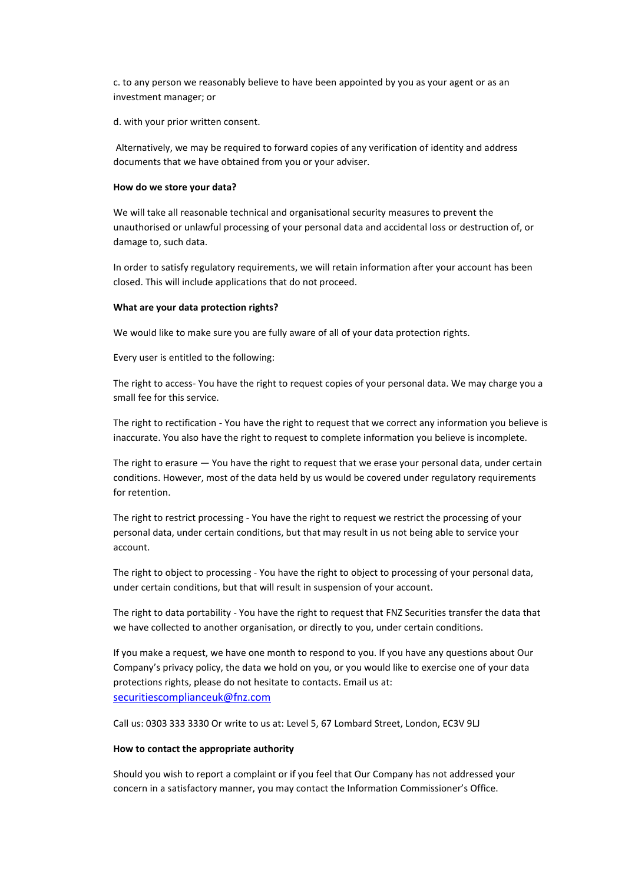c. to any person we reasonably believe to have been appointed by you as your agent or as an investment manager; or

d. with your prior written consent.

Alternatively, we may be required to forward copies of any verification of identity and address documents that we have obtained from you or your adviser.

#### **How do we store your data?**

We will take all reasonable technical and organisational security measures to prevent the unauthorised or unlawful processing of your personal data and accidental loss or destruction of, or damage to, such data.

In order to satisfy regulatory requirements, we will retain information after your account has been closed. This will include applications that do not proceed.

#### **What are your data protection rights?**

We would like to make sure you are fully aware of all of your data protection rights.

Every user is entitled to the following:

The right to access- You have the right to request copies of your personal data. We may charge you a small fee for this service.

The right to rectification - You have the right to request that we correct any information you believe is inaccurate. You also have the right to request to complete information you believe is incomplete.

The right to erasure — You have the right to request that we erase your personal data, under certain conditions. However, most of the data held by us would be covered under regulatory requirements for retention.

The right to restrict processing - You have the right to request we restrict the processing of your personal data, under certain conditions, but that may result in us not being able to service your account.

The right to object to processing - You have the right to object to processing of your personal data, under certain conditions, but that will result in suspension of your account.

The right to data portability - You have the right to request that FNZ Securities transfer the data that we have collected to another organisation, or directly to you, under certain conditions.

If you make a request, we have one month to respond to you. If you have any questions about Our Company's privacy policy, the data we hold on you, or you would like to exercise one of your data protections rights, please do not hesitate to contacts. Email us at: [securitiescomplianceuk@fnz.com](mailto:securitiescomplianceuk@fnz.com)

Call us: 0303 333 3330 Or write to us at: Level 5, 67 Lombard Street, London, EC3V 9LJ

#### **How to contact the appropriate authority**

Should you wish to report a complaint or if you feel that Our Company has not addressed your concern in a satisfactory manner, you may contact the Information Commissioner's Office.